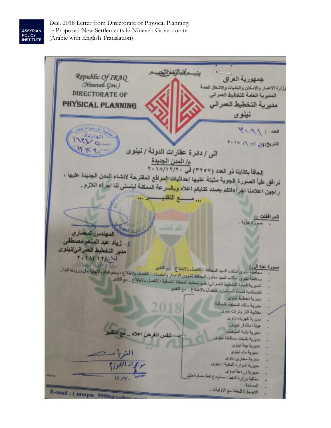ASSYRIAN<br>POLICY<br>INSTITUTE

Dec. 2018 Letter from Directorate of Physical Planning re Proposed New Settlements in Nineveh Governorate (Arabic with English Translation)

سُــمِ آللَهِ ٱلرَّحْمَرُ ٱلرَّحِيــم Republic Of IRAQ جمهورية العراق (Nineveh Gov.) رزارة الاعمار والاسكان والبلديات والاشغال العامة **DIRECTORATE OF** المديرية العامة للتخطيط العمراني مديرية التخطيط العمراني PHYSICAL PLANNING نينوى  $M = 190$ التريخ: الم ١٨ ٢٠١٨ الى / دائرة عقارات الدولة / نينوى م/ المدن الجديدة)<br>1 - 1 ^ 1 ^ 1 ^ 1 ^ 1 ^ 4 ^ 5 م/ المدن الجديدة<br>الحافاً بكتابنا ذو العدد (٣ ٢ ٥ / ٢ ، 1 / ١ / ١ / ١ / ١ الحافا بكتابنا دو العدد (١٦٥٧) في عام المقترحة لانشاء المدن الجديدة عليها ،<br>نرافق طيأ الصورة الجوية مثبتة عليها إحداث<mark>يات المواق</mark>ع المقترحة لانشاء المدن الجديدة عليها ، نرافق طيا الصورة الجويه منبته عليها إحداثها المرسى .<br>راجين اعلامنا اجراءاتكم بصدد كتابكم اعلاه وبالسرعة الممكنة ليتسنى لنا اجراء اللازم . ... و التقليد ... المرافقات :-سالين المعندس المعدادي ى. زياد عبد المنعم مصطفى .<br>مدير التخطيط العمراني/نينوى  $\frac{1}{2}$ ورة.<br>في تبنوي اسكتب السود المجالط / <mark>لتفحيل بالاطلاع .. مع التقوير .</mark> <u>له الميءَ :</u><br>محافظة تبنوي <sub>ال</sub>مكتب السود المحافظ / <mark>التفضل بالاطلاع .. مع الت</mark>قنيز .<br>محافظة تبنوي /مكتب السيد معاون المحافظ لشؤون الاعمار والخدمات / للتفضل بالاطلاع .. مع التقنيز .<br>محافظة تبنوي /مكتب السيد معاون المحافظ محافظة نينوي /مكتب السيد معاون المحافظ لشؤون الاعمار والمصمت .<br>المدير وة العامة للتخطيط العمر الي/ فسم تخطيط المنطقة الشمالية / للتفضل بالاطلاع .. مع التقدير .<br>المدير وة العامة للتخطيط العمر الي/ فسم تخطيط المنطقة الشمالي المديرية العامة للتحطيط العمراني.<br>قائمةقامية قضاء المرصل / للتفضل بالاطلاع .. مع التقليز . منس به تخطرط نباوی مديرية مكان المنطقة الشمالية مقتلمية النار ونراث نيذوى منيرية كهرباء نينوى هيئة استثمار نينوى لنفس الغرض اعلاه .. مع النظ مديرية بلدية الموصل منبرية بلنيات ممالطة نبلوي منيوية بيئة نينوى متبرية ماء ليترى مللاية مجازي نيلوى سنوية العواود العلنية / اينوى منيوية ذراعة نينوى مديرية زراعه ليلوى<br>ممثلية وزارة النفط/مستودع نفط حمام الطيل الإضبارة للخظ مع الاوليات. E-mail: (mmpw 9999 $\sqrt{a}$